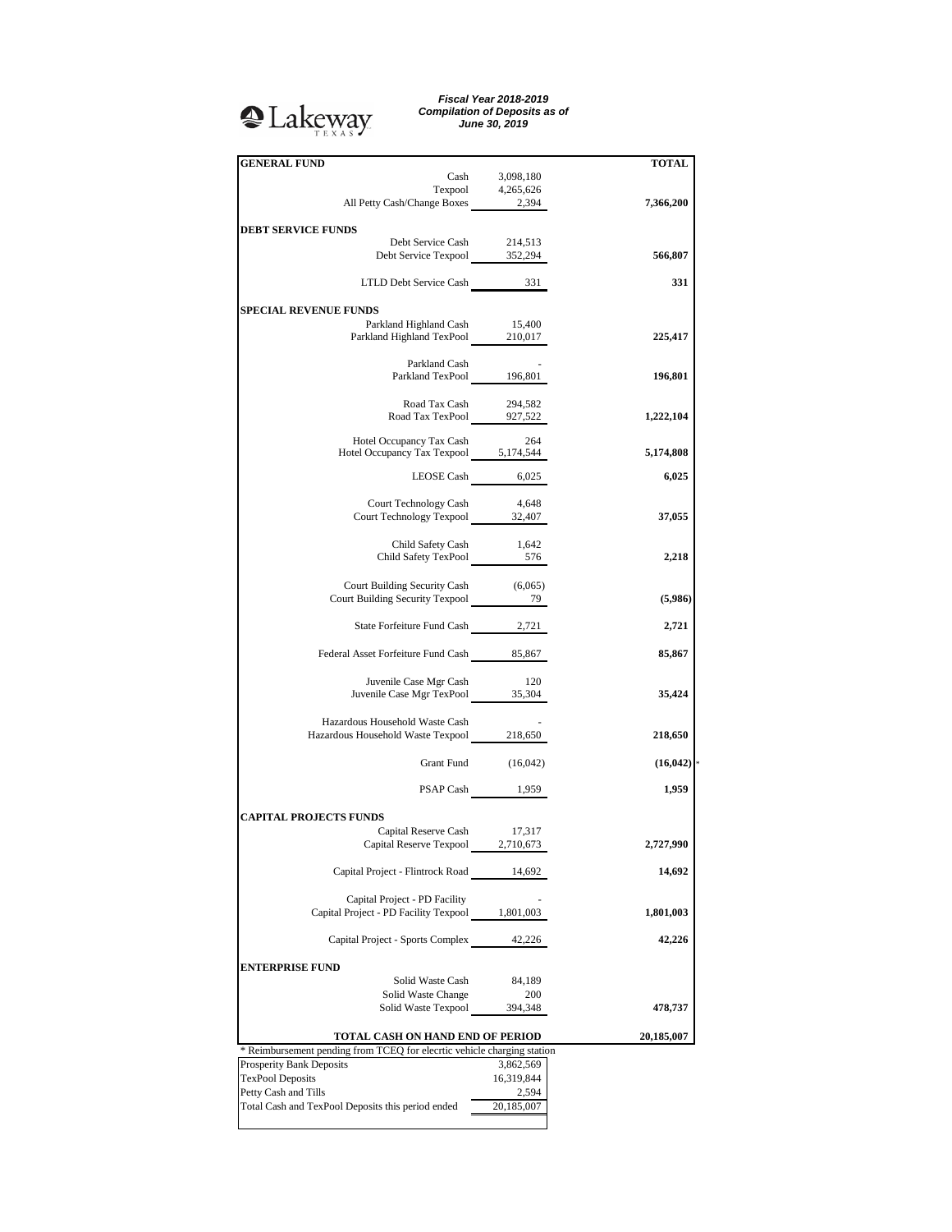## <sup>2</sup>Lakeway

*Fiscal Year 2018-2019 Compilation of Deposits as of June 30, 2019*

| <b>GENERAL FUND</b>                                                     |                     | <b>TOTAL</b> |
|-------------------------------------------------------------------------|---------------------|--------------|
|                                                                         | Cash 3,098,180      |              |
|                                                                         |                     |              |
| Texpool 4,265,626<br>All Petty Cash/Change Boxes 2,394                  |                     | 7,366,200    |
|                                                                         |                     |              |
| <b>DEBT SERVICE FUNDS</b>                                               |                     |              |
| Debt Service Cash                                                       |                     |              |
| Debt Service Texpool 352,294                                            | 214,513             |              |
|                                                                         |                     | 566,807      |
|                                                                         |                     |              |
| LTLD Debt Service Cash 331                                              |                     | 331          |
|                                                                         |                     |              |
| <b>SPECIAL REVENUE FUNDS</b>                                            |                     |              |
| Parkland Highland Cash 15,400                                           |                     |              |
| Parkland Highland TexPool 210,017                                       |                     | 225,417      |
|                                                                         |                     |              |
| Parkland Cash                                                           |                     |              |
| Parkland TexPool 196,801                                                |                     | 196,801      |
|                                                                         |                     |              |
|                                                                         |                     |              |
| Road Tax Cash                                                           | 294,582             |              |
| Road Tax TexPool 927,522                                                |                     | 1,222,104    |
|                                                                         |                     |              |
| Hotel Occupancy Tax Cash                                                | - 264               |              |
| Hotel Occupancy Tax Texpool 5,174,544                                   |                     | 5,174,808    |
|                                                                         |                     |              |
|                                                                         | LEOSE Cash 6,025    | 6,025        |
|                                                                         |                     |              |
| Court Technology Cash 4,648                                             |                     |              |
| Court Technology Texpool 32,407                                         |                     | 37,055       |
|                                                                         |                     |              |
|                                                                         |                     |              |
| Child Safety Cash 1,642<br>Child Safety TexPool 576                     |                     | 2,218        |
|                                                                         |                     |              |
|                                                                         |                     |              |
| Court Building Security Cash (6,065)                                    |                     |              |
| Court Building Security Texpool 2022 29                                 |                     | (5,986)      |
|                                                                         |                     |              |
| State Forfeiture Fund Cash 2,721                                        |                     | 2,721        |
|                                                                         |                     |              |
| Federal Asset Forfeiture Fund Cash 85,867                               |                     | 85,867       |
|                                                                         |                     |              |
|                                                                         |                     |              |
| Juvenile Case Mgr Cash                                                  | - 120               |              |
| Juvenile Case Mgr TexPool 35,304                                        |                     | 35,424       |
|                                                                         |                     |              |
| Hazardous Household Waste Cash                                          |                     |              |
| Hazardous Household Waste Texpool 218,650                               |                     | 218,650      |
|                                                                         |                     |              |
|                                                                         |                     |              |
|                                                                         | Grant Fund (16,042) | (16, 042)    |
|                                                                         |                     |              |
|                                                                         | PSAP Cash 1,959     | 1,959        |
|                                                                         |                     |              |
| <b>CAPITAL PROJECTS FUNDS</b>                                           |                     |              |
| Capital Reserve Cash 17,317                                             |                     |              |
| Capital Reserve Texpool                                                 | 2,710,673           | 2,727,990    |
|                                                                         |                     |              |
| Capital Project - Flintrock Road                                        | 14,692              | 14,692       |
|                                                                         |                     |              |
|                                                                         |                     |              |
| Capital Project - PD Facility                                           |                     |              |
| Capital Project - PD Facility Texpool 1,801,003                         |                     | 1,801,003    |
|                                                                         |                     |              |
| Capital Project - Sports Complex                                        | 42,226              | 42,226       |
|                                                                         |                     |              |
| <b>ENTERPRISE FUND</b>                                                  |                     |              |
| Solid Waste Cash                                                        | 84,189              |              |
|                                                                         |                     |              |
| Solid Waste Change                                                      | 200                 |              |
| Solid Waste Texpool                                                     | 394,348             | 478,737      |
|                                                                         |                     |              |
| TOTAL CASH ON HAND END OF PERIOD                                        |                     | 20,185,007   |
| * Reimbursement pending from TCEQ for elecrtic vehicle charging station |                     |              |
| Prosperity Bank Deposits                                                | 3,862,569           |              |
| <b>TexPool Deposits</b>                                                 | 16,319,844          |              |
| Petty Cash and Tills                                                    | 2,594               |              |
|                                                                         |                     |              |
|                                                                         |                     |              |
| Total Cash and TexPool Deposits this period ended                       | 20,185,007          |              |